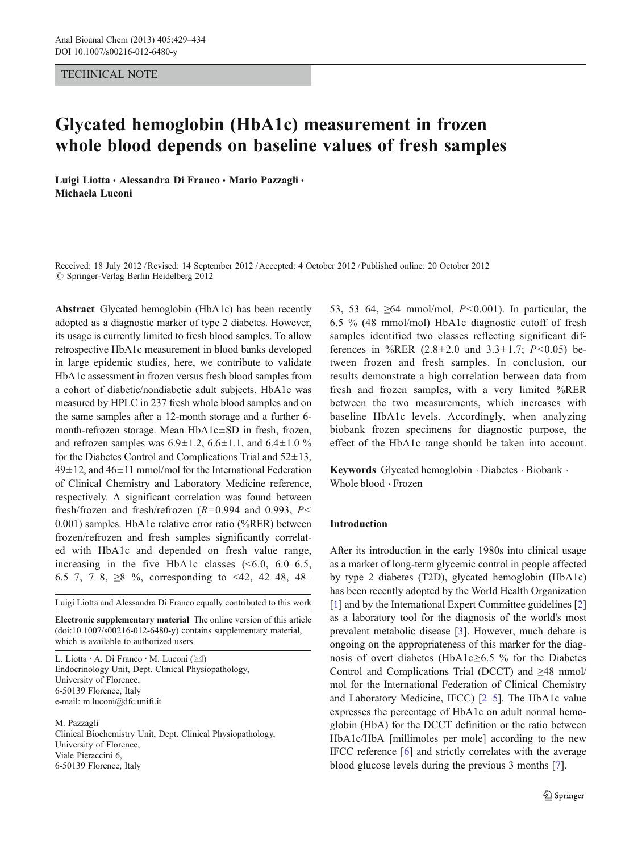## TECHNICAL NOTE

# Glycated hemoglobin (HbA1c) measurement in frozen whole blood depends on baseline values of fresh samples

Luigi Liotta · Alessandra Di Franco · Mario Pazzagli · Michaela Luconi

Received: 18 July 2012 /Revised: 14 September 2012 /Accepted: 4 October 2012 /Published online: 20 October 2012  $\circledcirc$  Springer-Verlag Berlin Heidelberg 2012

Abstract Glycated hemoglobin (HbA1c) has been recently adopted as a diagnostic marker of type 2 diabetes. However, its usage is currently limited to fresh blood samples. To allow retrospective HbA1c measurement in blood banks developed in large epidemic studies, here, we contribute to validate HbA1c assessment in frozen versus fresh blood samples from a cohort of diabetic/nondiabetic adult subjects. HbA1c was measured by HPLC in 237 fresh whole blood samples and on the same samples after a 12-month storage and a further 6 month-refrozen storage. Mean HbA1c±SD in fresh, frozen, and refrozen samples was  $6.9 \pm 1.2$ ,  $6.6 \pm 1.1$ , and  $6.4 \pm 1.0$  % for the Diabetes Control and Complications Trial and  $52\pm13$ ,  $49\pm12$ , and  $46\pm11$  mmol/mol for the International Federation of Clinical Chemistry and Laboratory Medicine reference, respectively. A significant correlation was found between fresh/frozen and fresh/refrozen ( $R=0.994$  and 0.993,  $P<$ 0.001) samples. HbA1c relative error ratio (%RER) between frozen/refrozen and fresh samples significantly correlated with HbA1c and depended on fresh value range, increasing in the five HbA1c classes  $(5.0, 6.0-6.5, 6.0)$ 6.5–7, 7–8,  $\geq 8$  %, corresponding to <42, 42–48, 48–

Luigi Liotta and Alessandra Di Franco equally contributed to this work

Electronic supplementary material The online version of this article (doi:[10.1007/s00216-012-6480-y](http://dx.doi.org/10.1007/s00216-012-6480-y)) contains supplementary material, which is available to authorized users.

L. Liotta · A. Di Franco · M. Luconi (⊠) Endocrinology Unit, Dept. Clinical Physiopathology, University of Florence, 6-50139 Florence, Italy e-mail: m.luconi@dfc.unifi.it

M. Pazzagli

Clinical Biochemistry Unit, Dept. Clinical Physiopathology, University of Florence, Viale Pieraccini 6, 6-50139 Florence, Italy

53, 53–64,  $\geq 64$  mmol/mol,  $P \leq 0.001$ ). In particular, the 6.5 % (48 mmol/mol) HbA1c diagnostic cutoff of fresh samples identified two classes reflecting significant differences in %RER  $(2.8 \pm 2.0 \text{ and } 3.3 \pm 1.7; P < 0.05)$  between frozen and fresh samples. In conclusion, our results demonstrate a high correlation between data from fresh and frozen samples, with a very limited %RER between the two measurements, which increases with baseline HbA1c levels. Accordingly, when analyzing biobank frozen specimens for diagnostic purpose, the effect of the HbA1c range should be taken into account.

Keywords Glycated hemoglobin . Diabetes . Biobank . Whole blood . Frozen

# Introduction

After its introduction in the early 1980s into clinical usage as a marker of long-term glycemic control in people affected by type 2 diabetes (T2D), glycated hemoglobin (HbA1c) has been recently adopted by the World Health Organization [\[1](#page-4-0)] and by the International Expert Committee guidelines [[2\]](#page-4-0) as a laboratory tool for the diagnosis of the world's most prevalent metabolic disease [\[3](#page-4-0)]. However, much debate is ongoing on the appropriateness of this marker for the diagnosis of overt diabetes (HbA1c≥6.5 % for the Diabetes Control and Complications Trial (DCCT) and ≥48 mmol/ mol for the International Federation of Clinical Chemistry and Laboratory Medicine, IFCC) [\[2](#page-4-0)–[5](#page-4-0)]. The HbA1c value expresses the percentage of HbA1c on adult normal hemoglobin (HbA) for the DCCT definition or the ratio between HbA1c/HbA [millimoles per mole] according to the new IFCC reference [[6\]](#page-4-0) and strictly correlates with the average blood glucose levels during the previous 3 months [\[7](#page-4-0)].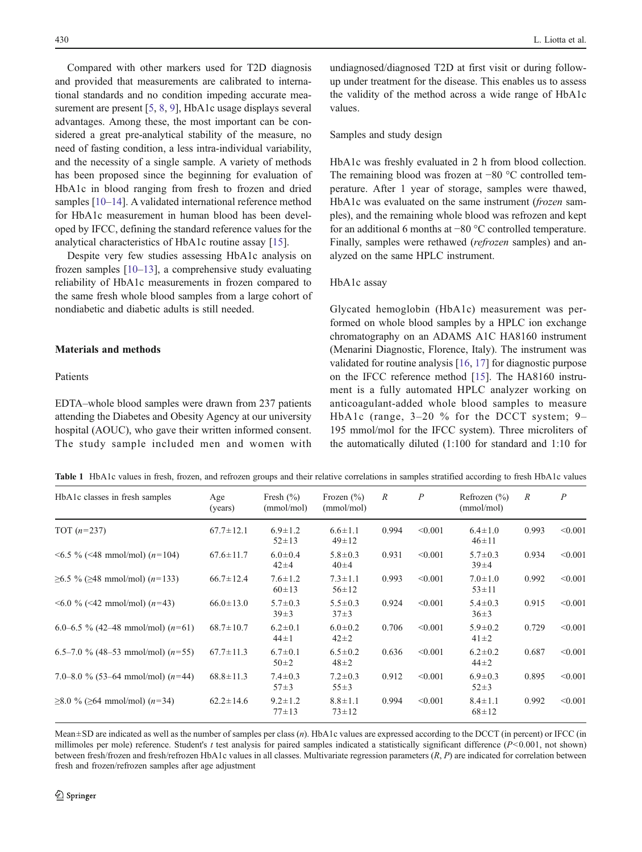<span id="page-1-0"></span>Compared with other markers used for T2D diagnosis and provided that measurements are calibrated to international standards and no condition impeding accurate mea-surement are present [[5,](#page-4-0) [8,](#page-4-0) [9\]](#page-4-0), HbA1c usage displays several advantages. Among these, the most important can be considered a great pre-analytical stability of the measure, no need of fasting condition, a less intra-individual variability, and the necessity of a single sample. A variety of methods has been proposed since the beginning for evaluation of HbA1c in blood ranging from fresh to frozen and dried samples [\[10](#page-5-0)–[14](#page-5-0)]. A validated international reference method for HbA1c measurement in human blood has been developed by IFCC, defining the standard reference values for the analytical characteristics of HbA1c routine assay [[15\]](#page-5-0).

Despite very few studies assessing HbA1c analysis on frozen samples [[10](#page-5-0)–[13\]](#page-5-0), a comprehensive study evaluating reliability of HbA1c measurements in frozen compared to the same fresh whole blood samples from a large cohort of nondiabetic and diabetic adults is still needed.

# Materials and methods

# Patients

EDTA–whole blood samples were drawn from 237 patients attending the Diabetes and Obesity Agency at our university hospital (AOUC), who gave their written informed consent. The study sample included men and women with

undiagnosed/diagnosed T2D at first visit or during followup under treatment for the disease. This enables us to assess the validity of the method across a wide range of HbA1c values.

#### Samples and study design

HbA1c was freshly evaluated in 2 h from blood collection. The remaining blood was frozen at −80 °C controlled temperature. After 1 year of storage, samples were thawed, HbA1c was evaluated on the same instrument (frozen samples), and the remaining whole blood was refrozen and kept for an additional 6 months at −80 °C controlled temperature. Finally, samples were rethawed (refrozen samples) and analyzed on the same HPLC instrument.

#### HbA1c assay

Glycated hemoglobin (HbA1c) measurement was performed on whole blood samples by a HPLC ion exchange chromatography on an ADAMS A1C HA8160 instrument (Menarini Diagnostic, Florence, Italy). The instrument was validated for routine analysis [[16,](#page-5-0) [17\]](#page-5-0) for diagnostic purpose on the IFCC reference method [[15\]](#page-5-0). The HA8160 instrument is a fully automated HPLC analyzer working on anticoagulant-added whole blood samples to measure HbA1c (range, 3–20 % for the DCCT system; 9– 195 mmol/mol for the IFCC system). Three microliters of the automatically diluted (1:100 for standard and 1:10 for

Table 1 HbA1c values in fresh, frozen, and refrozen groups and their relative correlations in samples stratified according to fresh HbA1c values

| HbA1c classes in fresh samples                     | Age<br>(years)  | Fresh $(\% )$<br>(mmol/mol)  | Frozen $(\% )$<br>(mmol/mol) | $\boldsymbol{R}$ | $\boldsymbol{P}$ | Refrozen $(\% )$<br>(mmol/mol) | $\mathcal{R}$ | $\overline{P}$ |
|----------------------------------------------------|-----------------|------------------------------|------------------------------|------------------|------------------|--------------------------------|---------------|----------------|
| TOT $(n=237)$                                      | $67.7 \pm 12.1$ | $6.9 \pm 1.2$<br>$52 \pm 13$ | $6.6 \pm 1.1$<br>$49 \pm 12$ | 0.994            | < 0.001          | $6.4 \pm 1.0$<br>$46 \pm 11$   | 0.993         | < 0.001        |
| $\leq 6.5 \% \leq 48$ mmol/mol) ( <i>n</i> =104)   | $67.6 \pm 11.7$ | $6.0 \pm 0.4$<br>$42 + 4$    | $5.8 \pm 0.3$<br>$40 + 4$    | 0.931            | < 0.001          | $5.7 \pm 0.3$<br>$39 + 4$      | 0.934         | < 0.001        |
| $\geq 6.5 \%$ ( $\geq 48$ mmol/mol) ( $n=133$ )    | $66.7 \pm 12.4$ | $7.6 \pm 1.2$<br>$60 \pm 13$ | $7.3 \pm 1.1$<br>$56 \pm 12$ | 0.993            | < 0.001          | $7.0 \pm 1.0$<br>$53 \pm 11$   | 0.992         | < 0.001        |
| $\leq 6.0$ % ( $\leq 42$ mmol/mol) ( $n=43$ )      | $66.0 \pm 13.0$ | $5.7 \pm 0.3$<br>$39 \pm 3$  | $5.5 \pm 0.3$<br>$37 + 3$    | 0.924            | < 0.001          | $5.4 \pm 0.3$<br>$36 \pm 3$    | 0.915         | < 0.001        |
| 6.0–6.5 % (42–48 mmol/mol) $(n=61)$                | $68.7 \pm 10.7$ | $6.2 \pm 0.1$<br>$44 \pm 1$  | $6.0 \pm 0.2$<br>$42 \pm 2$  | 0.706            | < 0.001          | $5.9 \pm 0.2$<br>$41 \pm 2$    | 0.729         | < 0.001        |
| 6.5–7.0 % (48–53 mmol/mol) $(n=55)$                | $67.7 \pm 11.3$ | $6.7 \pm 0.1$<br>$50+2$      | $6.5 \pm 0.2$<br>$48 \pm 2$  | 0.636            | < 0.001          | $6.2 \pm 0.2$<br>$44\pm 2$     | 0.687         | < 0.001        |
| 7.0–8.0 % (53–64 mmol/mol) $(n=44)$                | $68.8 \pm 11.3$ | $7.4 \pm 0.3$<br>$57 + 3$    | $7.2 \pm 0.3$<br>$55 \pm 3$  | 0.912            | < 0.001          | $6.9 \pm 0.3$<br>$52 \pm 3$    | 0.895         | < 0.001        |
| $\geq 8.0$ % ( $\geq 64$ mmol/mol) ( <i>n</i> =34) | $62.2 \pm 14.6$ | $9.2 \pm 1.2$<br>$77 + 13$   | $8.8 \pm 1.1$<br>$73 \pm 12$ | 0.994            | < 0.001          | $8.4 \pm 1.1$<br>$68 + 12$     | 0.992         | < 0.001        |

Mean $\pm$ SD are indicated as well as the number of samples per class  $(n)$ . HbA1c values are expressed according to the DCCT (in percent) or IFCC (in millimoles per mole) reference. Student's t test analysis for paired samples indicated a statistically significant difference  $(P<0.001$ , not shown) between fresh/frozen and fresh/refrozen HbA1c values in all classes. Multivariate regression parameters  $(R, P)$  are indicated for correlation between fresh and frozen/refrozen samples after age adjustment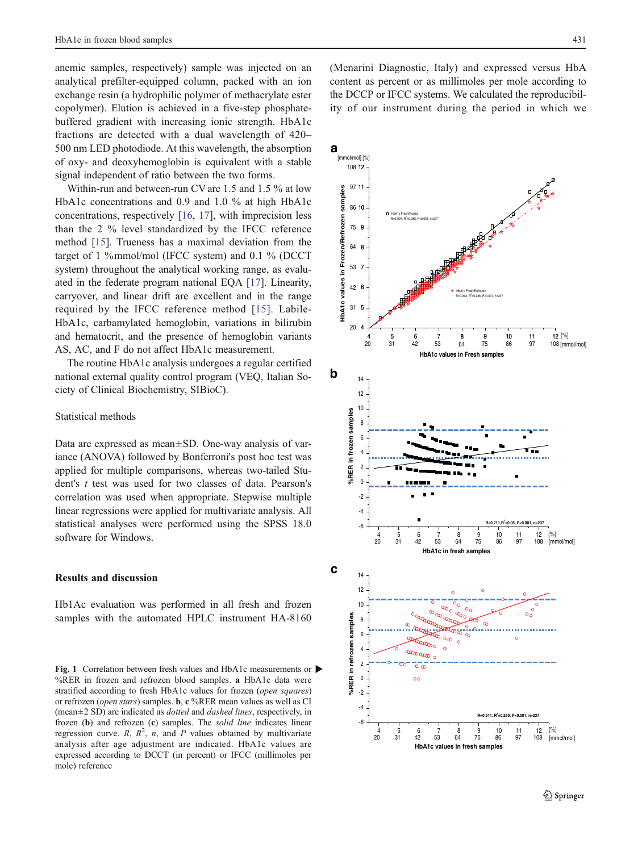<span id="page-2-0"></span>anemic samples, respectively) sample was injected on an analytical prefilter-equipped column, packed with an ion exchange resin (a hydrophilic polymer of methacrylate ester copolymer). Elution is achieved in a five-step phosphatebuffered gradient with increasing ionic strength. HbA1c fractions are detected with a dual wavelength of 420– 500 nm LED photodiode. At this wavelength, the absorption of oxy- and deoxyhemoglobin is equivalent with a stable signal independent of ratio between the two forms.

Within-run and between-run CV are 1.5 and 1.5 % at low HbA1c concentrations and 0.9 and 1.0 % at high HbA1c concentrations, respectively [[16,](#page-5-0) [17](#page-5-0)], with imprecision less than the 2 % level standardized by the IFCC reference method [\[15](#page-5-0)]. Trueness has a maximal deviation from the target of 1 %mmol/mol (IFCC system) and 0.1 % (DCCT system) throughout the analytical working range, as evaluated in the federate program national EQA [\[17\]](#page-5-0). Linearity, carryover, and linear drift are excellent and in the range required by the IFCC reference method [[15\]](#page-5-0). Labile-HbA1c, carbamylated hemoglobin, variations in bilirubin AS, AC, and F do not affect HbA1c measurement.

The routine HbA1c analysis undergoes a regular certified national external quality control program (VEQ, Italian Society of Clinical Biochemistry, SIBioC).

## Statistical methods

Data are expressed as mean±SD. One-way analysis of variance (ANOVA) followed by Bonferroni's post hoc test was applied for multiple comparisons, whereas two-tailed Student's t test was used for two classes of data. Pearson's correlation was used when appropriate. Stepwise multiple  $\frac{2}{3}$ linear regressions were applied for multivariate analysis. All **statistical analyses were performed using the SPSS 18.0**  $\begin{array}{ccc} 6 & -6 & -6 \\ 4 & 5 & 6 \\ 7 & 8 & 9 \\ 10 & 11 & 12 \\ 11 & 12 & 13 \end{array}$ 

# Results and discussion  $\mathbb{C}$  14

Hb1Ac evaluation was performed in all fresh and frozen 10 samples with the automated HPLC instrument HA-8160

Fig. 1 Correlation between fresh values and HbA1c measurements or  $\blacktriangleright$ %RER in frozen and refrozen blood samples. a HbA1c data were stratified according to fresh HbA1c values for frozen (open squares) or refrozen (open stars) samples. b, c %RER mean values as well as CI  $(\text{mean} \pm 2 \text{ SD})$  are indicated as *dotted* and *dashed lines*, respectively, in frozen (b) and refrozen (c) samples. The *solid line* indicates linear -6 analysis after age adjustment are indicated. HbA1c values are **HbA1c values in fresh samples** expressed according to DCCT (in percent) or IFCC (millimoles per mole) reference

(Menarini Diagnostic, Italy) and expressed versus HbA content as percent or as millimoles per mole according to the DCCP or IFCC systems. We calculated the reproducibility of our instrument during the period in which we

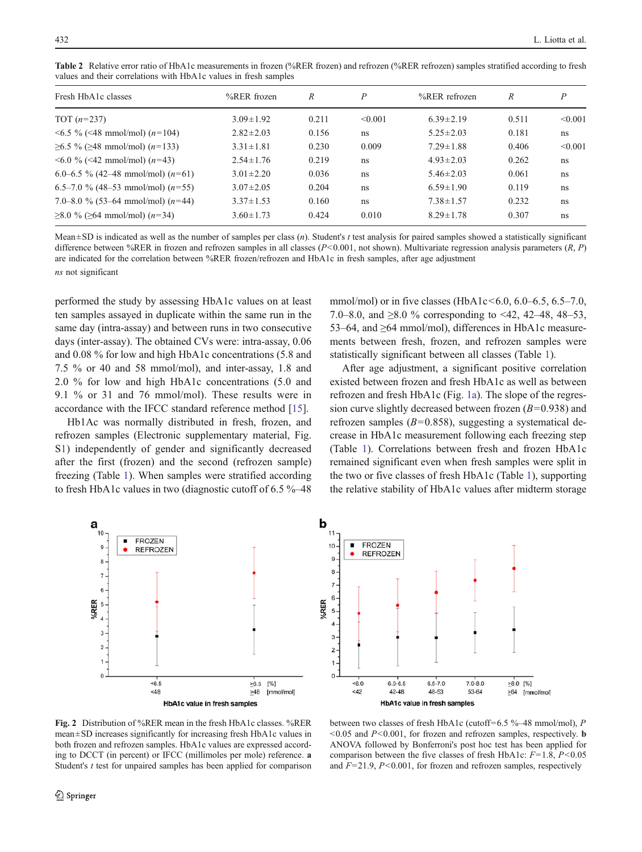| Fresh HbA1c classes                                | $%$ RER frozen  | R     | P       | $%$ RER refrozen | R     | $\boldsymbol{P}$ |
|----------------------------------------------------|-----------------|-------|---------|------------------|-------|------------------|
| TOT $(n=237)$                                      | $3.09 \pm 1.92$ | 0.211 | < 0.001 | $6.39 \pm 2.19$  | 0.511 | < 0.001          |
| $\leq 6.5 \% \leq 48$ mmol/mol) ( <i>n</i> =104)   | $2.82 \pm 2.03$ | 0.156 | ns      | $5.25 \pm 2.03$  | 0.181 | ns               |
| $\geq 6.5 \% (\geq 48 \text{ mmol/mol}) (n=133)$   | $3.31 \pm 1.81$ | 0.230 | 0.009   | $7.29 \pm 1.88$  | 0.406 | < 0.001          |
| $\leq 6.0$ % ( $\leq 42$ mmol/mol) ( $n=43$ )      | $2.54 \pm 1.76$ | 0.219 | ns      | $4.93 \pm 2.03$  | 0.262 | ns               |
| 6.0–6.5 % (42–48 mmol/mol) $(n=61)$                | $3.01 \pm 2.20$ | 0.036 | ns      | $5.46 \pm 2.03$  | 0.061 | ns               |
| 6.5–7.0 % (48–53 mmol/mol) $(n=55)$                | $3.07 \pm 2.05$ | 0.204 | ns      | $6.59 \pm 1.90$  | 0.119 | ns               |
| 7.0–8.0 % (53–64 mmol/mol) $(n=44)$                | $3.37 \pm 1.53$ | 0.160 | ns      | $7.38 \pm 1.57$  | 0.232 | ns               |
| $\geq 8.0$ % ( $\geq 64$ mmol/mol) ( <i>n</i> =34) | $3.60 \pm 1.73$ | 0.424 | 0.010   | $8.29 \pm 1.78$  | 0.307 | ns               |

<span id="page-3-0"></span>Table 2 Relative error ratio of HbA1c measurements in frozen (%RER frozen) and refrozen (%RER refrozen) samples stratified according to fresh values and their correlations with HbA1c values in fresh samples

Mean $\pm$ SD is indicated as well as the number of samples per class  $(n)$ . Student's t test analysis for paired samples showed a statistically significant difference between %RER in frozen and refrozen samples in all classes  $(P<0.001$ , not shown). Multivariate regression analysis parameters  $(R, P)$ are indicated for the correlation between %RER frozen/refrozen and HbA1c in fresh samples, after age adjustment ns not significant

performed the study by assessing HbA1c values on at least ten samples assayed in duplicate within the same run in the same day (intra-assay) and between runs in two consecutive days (inter-assay). The obtained CVs were: intra-assay, 0.06 and 0.08 % for low and high HbA1c concentrations (5.8 and 7.5 % or 40 and 58 mmol/mol), and inter-assay, 1.8 and 2.0 % for low and high HbA1c concentrations (5.0 and 9.1 % or 31 and 76 mmol/mol). These results were in accordance with the IFCC standard reference method [[15\]](#page-5-0).

Hb1Ac was normally distributed in fresh, frozen, and refrozen samples (Electronic supplementary material, Fig. S1) independently of gender and significantly decreased after the first (frozen) and the second (refrozen sample) freezing (Table [1\)](#page-1-0). When samples were stratified according to fresh HbA1c values in two (diagnostic cutoff of 6.5 %–48 mmol/mol) or in five classes (HbA1c < 6.0, 6.0–6.5, 6.5–7.0, 7.0–8.0, and  $\geq 8.0$  % corresponding to <42, 42–48, 48–53. 53–64, and ≥64 mmol/mol), differences in HbA1c measurements between fresh, frozen, and refrozen samples were statistically significant between all classes (Table [1\)](#page-1-0).

After age adjustment, a significant positive correlation existed between frozen and fresh HbA1c as well as between refrozen and fresh HbA1c (Fig. [1a](#page-2-0)). The slope of the regression curve slightly decreased between frozen  $(B=0.938)$  and refrozen samples ( $B=0.858$ ), suggesting a systematical decrease in HbA1c measurement following each freezing step (Table [1\)](#page-1-0). Correlations between fresh and frozen HbA1c remained significant even when fresh samples were split in the two or five classes of fresh HbA1c (Table [1\)](#page-1-0), supporting the relative stability of HbA1c values after midterm storage





Fig. 2 Distribution of %RER mean in the fresh HbA1c classes. %RER mean±SD increases significantly for increasing fresh HbA1c values in both frozen and refrozen samples. HbA1c values are expressed according to DCCT (in percent) or IFCC (millimoles per mole) reference. a Student's *t* test for unpaired samples has been applied for comparison

between two classes of fresh HbA1c (cutoff=6.5 %–48 mmol/mol), P  $\leq 0.05$  and  $P \leq 0.001$ , for frozen and refrozen samples, respectively. **b** ANOVA followed by Bonferroni's post hoc test has been applied for comparison between the five classes of fresh HbA1c:  $F=1.8$ ,  $P<0.05$ and  $F=21.9$ ,  $P<0.001$ , for frozen and refrozen samples, respectively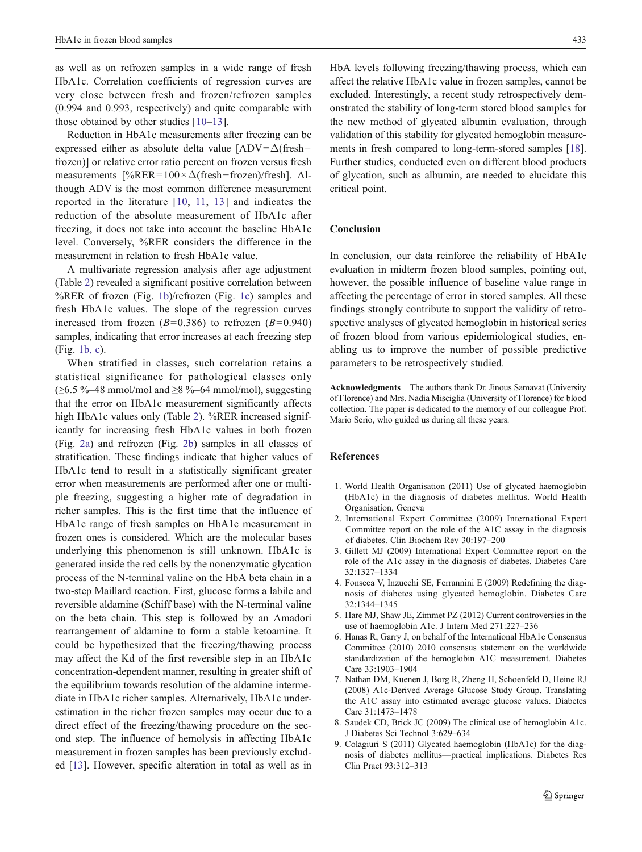<span id="page-4-0"></span>as well as on refrozen samples in a wide range of fresh HbA1c. Correlation coefficients of regression curves are very close between fresh and frozen/refrozen samples (0.994 and 0.993, respectively) and quite comparable with those obtained by other studies [[10](#page-5-0)–[13\]](#page-5-0).

Reduction in HbA1c measurements after freezing can be expressed either as absolute delta value  $[ADV = \Delta$ (fresh− frozen)] or relative error ratio percent on frozen versus fresh measurements  $[\%RER=100 \times \Delta(\text{fresh}-\text{frozen})/\text{fresh}]$ . Although ADV is the most common difference measurement reported in the literature [[10](#page-5-0), [11](#page-5-0), [13\]](#page-5-0) and indicates the reduction of the absolute measurement of HbA1c after freezing, it does not take into account the baseline HbA1c level. Conversely, %RER considers the difference in the measurement in relation to fresh HbA1c value.

A multivariate regression analysis after age adjustment (Table [2\)](#page-3-0) revealed a significant positive correlation between %RER of frozen (Fig. [1b\)](#page-2-0)/refrozen (Fig. [1c\)](#page-2-0) samples and fresh HbA1c values. The slope of the regression curves increased from frozen ( $B=0.386$ ) to refrozen ( $B=0.940$ ) samples, indicating that error increases at each freezing step (Fig. [1b,](#page-2-0) c).

When stratified in classes, such correlation retains a statistical significance for pathological classes only  $(\geq 6.5 \text{ %} -48 \text{ mmol/mol and } \geq 8 \text{ %} -64 \text{ mmol/mol})$ , suggesting that the error on HbA1c measurement significantly affects high HbA1c values only (Table [2](#page-3-0)). %RER increased significantly for increasing fresh HbA1c values in both frozen (Fig. [2a\)](#page-3-0) and refrozen (Fig. [2b\)](#page-3-0) samples in all classes of stratification. These findings indicate that higher values of HbA1c tend to result in a statistically significant greater error when measurements are performed after one or multiple freezing, suggesting a higher rate of degradation in richer samples. This is the first time that the influence of HbA1c range of fresh samples on HbA1c measurement in frozen ones is considered. Which are the molecular bases underlying this phenomenon is still unknown. HbA1c is generated inside the red cells by the nonenzymatic glycation process of the N-terminal valine on the HbA beta chain in a two-step Maillard reaction. First, glucose forms a labile and reversible aldamine (Schiff base) with the N-terminal valine on the beta chain. This step is followed by an Amadori rearrangement of aldamine to form a stable ketoamine. It could be hypothesized that the freezing/thawing process may affect the Kd of the first reversible step in an HbA1c concentration-dependent manner, resulting in greater shift of the equilibrium towards resolution of the aldamine intermediate in HbA1c richer samples. Alternatively, HbA1c underestimation in the richer frozen samples may occur due to a direct effect of the freezing/thawing procedure on the second step. The influence of hemolysis in affecting HbA1c measurement in frozen samples has been previously excluded [\[13](#page-5-0)]. However, specific alteration in total as well as in

HbA levels following freezing/thawing process, which can affect the relative HbA1c value in frozen samples, cannot be excluded. Interestingly, a recent study retrospectively demonstrated the stability of long-term stored blood samples for the new method of glycated albumin evaluation, through validation of this stability for glycated hemoglobin measurements in fresh compared to long-term-stored samples [[18\]](#page-5-0). Further studies, conducted even on different blood products of glycation, such as albumin, are needed to elucidate this critical point.

# Conclusion

In conclusion, our data reinforce the reliability of HbA1c evaluation in midterm frozen blood samples, pointing out, however, the possible influence of baseline value range in affecting the percentage of error in stored samples. All these findings strongly contribute to support the validity of retrospective analyses of glycated hemoglobin in historical series of frozen blood from various epidemiological studies, enabling us to improve the number of possible predictive parameters to be retrospectively studied.

Acknowledgments The authors thank Dr. Jinous Samavat (University of Florence) and Mrs. Nadia Misciglia (University of Florence) for blood collection. The paper is dedicated to the memory of our colleague Prof. Mario Serio, who guided us during all these years.

# References

- 1. World Health Organisation (2011) Use of glycated haemoglobin (HbA1c) in the diagnosis of diabetes mellitus. World Health Organisation, Geneva
- 2. International Expert Committee (2009) International Expert Committee report on the role of the A1C assay in the diagnosis of diabetes. Clin Biochem Rev 30:197–200
- 3. Gillett MJ (2009) International Expert Committee report on the role of the A1c assay in the diagnosis of diabetes. Diabetes Care 32:1327–1334
- 4. Fonseca V, Inzucchi SE, Ferrannini E (2009) Redefining the diagnosis of diabetes using glycated hemoglobin. Diabetes Care 32:1344–1345
- 5. Hare MJ, Shaw JE, Zimmet PZ (2012) Current controversies in the use of haemoglobin A1c. J Intern Med 271:227–236
- 6. Hanas R, Garry J, on behalf of the International HbA1c Consensus Committee (2010) 2010 consensus statement on the worldwide standardization of the hemoglobin A1C measurement. Diabetes Care 33:1903–1904
- 7. Nathan DM, Kuenen J, Borg R, Zheng H, Schoenfeld D, Heine RJ (2008) A1c-Derived Average Glucose Study Group. Translating the A1C assay into estimated average glucose values. Diabetes Care 31:1473–1478
- 8. Saudek CD, Brick JC (2009) The clinical use of hemoglobin A1c. J Diabetes Sci Technol 3:629–634
- 9. Colagiuri S (2011) Glycated haemoglobin (HbA1c) for the diagnosis of diabetes mellitus—practical implications. Diabetes Res Clin Pract 93:312–313